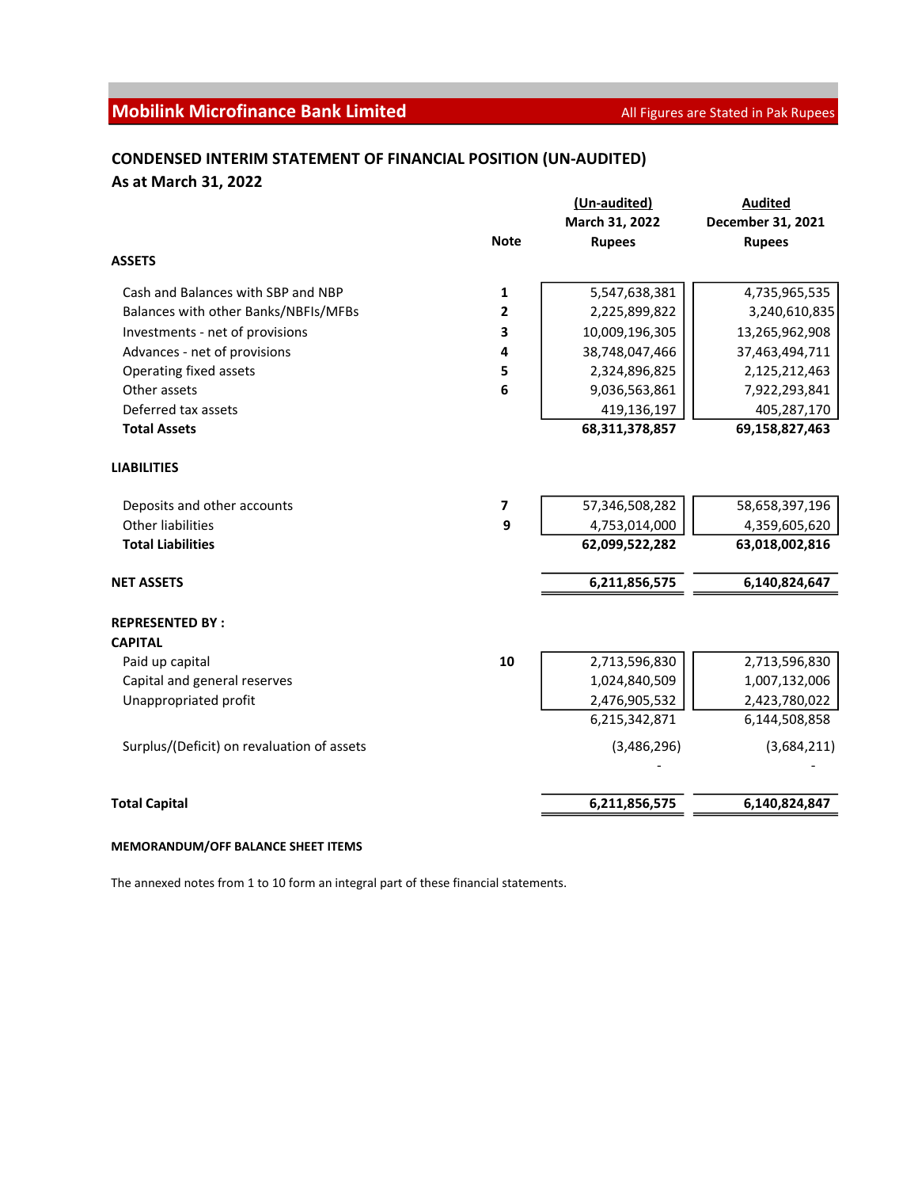# **Mobilink Microfinance Bank Limited** All Figures are Stated in Pak Rupees

## CONDENSED INTERIM STATEMENT OF FINANCIAL POSITION (UN-AUDITED) As at March 31, 2022

|                                            |              | (Un-audited)   | <b>Audited</b>    |
|--------------------------------------------|--------------|----------------|-------------------|
|                                            |              | March 31, 2022 | December 31, 2021 |
|                                            | <b>Note</b>  | <b>Rupees</b>  | <b>Rupees</b>     |
| <b>ASSETS</b>                              |              |                |                   |
| Cash and Balances with SBP and NBP         | 1            | 5,547,638,381  | 4,735,965,535     |
| Balances with other Banks/NBFIs/MFBs       | $\mathbf{2}$ | 2,225,899,822  | 3,240,610,835     |
| Investments - net of provisions            | 3            | 10,009,196,305 | 13,265,962,908    |
| Advances - net of provisions               | 4            | 38,748,047,466 | 37,463,494,711    |
| Operating fixed assets                     | 5            | 2,324,896,825  | 2,125,212,463     |
| Other assets                               | 6            | 9,036,563,861  | 7,922,293,841     |
| Deferred tax assets                        |              | 419,136,197    | 405,287,170       |
| <b>Total Assets</b>                        |              | 68,311,378,857 | 69,158,827,463    |
| <b>LIABILITIES</b>                         |              |                |                   |
| Deposits and other accounts                | 7            | 57,346,508,282 | 58,658,397,196    |
| <b>Other liabilities</b>                   | 9            | 4,753,014,000  | 4,359,605,620     |
| <b>Total Liabilities</b>                   |              | 62,099,522,282 | 63,018,002,816    |
| <b>NET ASSETS</b>                          |              | 6,211,856,575  | 6,140,824,647     |
| <b>REPRESENTED BY:</b>                     |              |                |                   |
| <b>CAPITAL</b>                             |              |                |                   |
| Paid up capital                            | 10           | 2,713,596,830  | 2,713,596,830     |
| Capital and general reserves               |              | 1,024,840,509  | 1,007,132,006     |
| Unappropriated profit                      |              | 2,476,905,532  | 2,423,780,022     |
|                                            |              | 6,215,342,871  | 6,144,508,858     |
| Surplus/(Deficit) on revaluation of assets |              | (3,486,296)    | (3,684,211)       |
|                                            |              |                |                   |
| <b>Total Capital</b>                       |              | 6,211,856,575  | 6,140,824,847     |

#### MEMORANDUM/OFF BALANCE SHEET ITEMS

The annexed notes from 1 to 10 form an integral part of these financial statements.